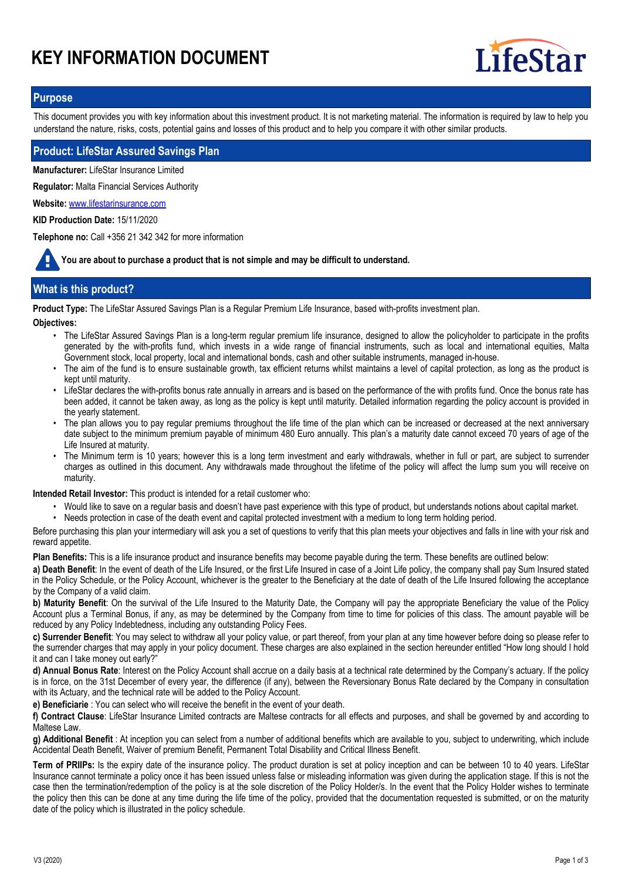# **KEY INFORMATION DOCUMENT**



### **Purpose**

This document provides you with key information about this investment product. It is not marketing material. The information is required by law to help you understand the nature, risks, costs, potential gains and losses of this product and to help you compare it with other similar products.

#### **Product: LifeStar Assured Savings Plan**

**Manufacturer:** LifeStar Insurance Limited

**Regulator:** Malta Financial Services Authority

**Website:** www.lifestarinsurance.com

**KID Production Date:** 15/11/2020

**Telephone no:** Call +356 21 342 342 for more information

**You are about to purchase a product that is not simple and may be difficult to understand.**

# **What is this product?**

**Product Type:** The LifeStar Assured Savings Plan is a Regular Premium Life Insurance, based with-profits investment plan.

**Objectives:**

- The LifeStar Assured Savings Plan is a long-term regular premium life insurance, designed to allow the policyholder to participate in the profits generated by the with-profits fund, which invests in a wide range of financial instruments, such as local and international equities, Malta Government stock, local property, local and international bonds, cash and other suitable instruments, managed in-house.
- The aim of the fund is to ensure sustainable growth, tax efficient returns whilst maintains a level of capital protection, as long as the product is kept until maturity.
- LifeStar declares the with-profits bonus rate annually in arrears and is based on the performance of the with profits fund. Once the bonus rate has been added, it cannot be taken away, as long as the policy is kept until maturity. Detailed information regarding the policy account is provided in the yearly statement.
- The plan allows you to pay regular premiums throughout the life time of the plan which can be increased or decreased at the next anniversary date subject to the minimum premium payable of minimum 480 Euro annually. This plan's a maturity date cannot exceed 70 years of age of the Life Insured at maturity. •
- The Minimum term is 10 years; however this is a long term investment and early withdrawals, whether in full or part, are subject to surrender charges as outlined in this document. Any withdrawals made throughout the lifetime of the policy will affect the lump sum you will receive on maturity. •

**Intended Retail Investor:** This product is intended for a retail customer who:

- Would like to save on a regular basis and doesn't have past experience with this type of product, but understands notions about capital market.
- Needs protection in case of the death event and capital protected investment with a medium to long term holding period.

Before purchasing this plan your intermediary will ask you a set of questions to verify that this plan meets your objectives and falls in line with your risk and reward appetite.

**Plan Benefits:** This is a life insurance product and insurance benefits may become payable during the term. These benefits are outlined below:

**a) Death Benefit**: In the event of death of the Life Insured, or the first Life Insured in case of a Joint Life policy, the company shall pay Sum Insured stated in the Policy Schedule, or the Policy Account, whichever is the greater to the Beneficiary at the date of death of the Life Insured following the acceptance by the Company of a valid claim.

**b) Maturity Benefit**: On the survival of the Life Insured to the Maturity Date, the Company will pay the appropriate Beneficiary the value of the Policy Account plus a Terminal Bonus, if any, as may be determined by the Company from time to time for policies of this class. The amount payable will be reduced by any Policy Indebtedness, including any outstanding Policy Fees.

**c) Surrender Benefit**: You may select to withdraw all your policy value, or part thereof, from your plan at any time however before doing so please refer to the surrender charges that may apply in your policy document. These charges are also explained in the section hereunder entitled "How long should I hold it and can I take money out early?"

**d) Annual Bonus Rate**: Interest on the Policy Account shall accrue on a daily basis at a technical rate determined by the Company's actuary. If the policy is in force, on the 31st December of every year, the difference (if any), between the Reversionary Bonus Rate declared by the Company in consultation with its Actuary, and the technical rate will be added to the Policy Account.

**e) Beneficiarie** : You can select who will receive the benefit in the event of your death.

**f) Contract Clause**: LifeStar Insurance Limited contracts are Maltese contracts for all effects and purposes, and shall be governed by and according to Maltese Law.

**g) Additional Benefit** : At inception you can select from a number of additional benefits which are available to you, subject to underwriting, which include Accidental Death Benefit, Waiver of premium Benefit, Permanent Total Disability and Critical Illness Benefit.

**Term of PRIIPs:** Is the expiry date of the insurance policy. The product duration is set at policy inception and can be between 10 to 40 years. LifeStar Insurance cannot terminate a policy once it has been issued unless false or misleading information was given during the application stage. If this is not the case then the termination/redemption of the policy is at the sole discretion of the Policy Holder/s. In the event that the Policy Holder wishes to terminate the policy then this can be done at any time during the life time of the policy, provided that the documentation requested is submitted, or on the maturity date of the policy which is illustrated in the policy schedule.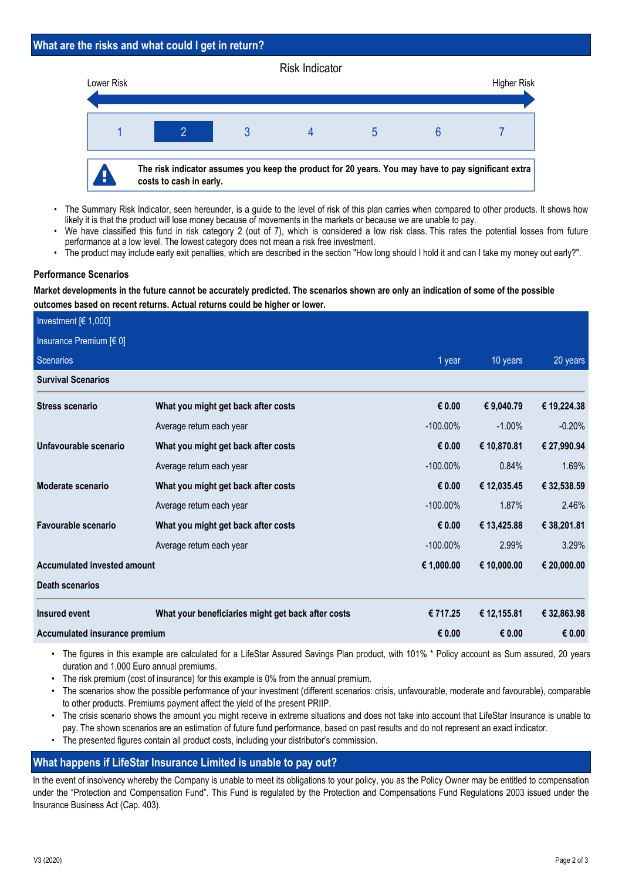## **What are the risks and what could I get in return?**



- The Summary Risk Indicator, seen hereunder, is a guide to the level of risk of this plan carries when compared to other products. It shows how likely it is that the product will lose money because of movements in the markets or because we are unable to pay. •
- We have classified this fund in risk category 2 (out of 7), which is considered a low risk class. This rates the potential losses from future performance at a low level. The lowest category does not mean a risk free investment. •
- The product may include early exit penalties, which are described in the section "How long should I hold it and can I take my money out early?".

### **Performance Scenarios**

**Market developments in the future cannot be accurately predicted. The scenarios shown are only an indication of some of the possible outcomes based on recent returns. Actual returns could be higher or lower.**

| Investment $[6 1,000]$        |                                                    |             |             |             |
|-------------------------------|----------------------------------------------------|-------------|-------------|-------------|
| Insurance Premium $[6 0]$     |                                                    |             |             |             |
| Scenarios                     |                                                    | 1 year      | 10 years    | 20 years    |
| <b>Survival Scenarios</b>     |                                                    |             |             |             |
| <b>Stress scenario</b>        | What you might get back after costs                | € 0.00      | € 9,040.79  | € 19,224.38 |
|                               | Average return each year                           | $-100.00\%$ | $-1.00\%$   | $-0.20%$    |
| Unfavourable scenario         | What you might get back after costs                | € 0.00      | € 10,870.81 | € 27,990.94 |
|                               | Average return each year                           | $-100.00\%$ | 0.84%       | 1.69%       |
| Moderate scenario             | What you might get back after costs                | € 0.00      | € 12,035.45 | € 32,538.59 |
|                               | Average return each year                           | $-100.00\%$ | 1.87%       | 2.46%       |
| Favourable scenario           | What you might get back after costs                | € 0.00      | € 13,425.88 | € 38,201.81 |
|                               | Average return each year                           | $-100.00\%$ | 2.99%       | 3.29%       |
| Accumulated invested amount   |                                                    | € 1,000.00  | € 10,000.00 | € 20,000.00 |
| <b>Death scenarios</b>        |                                                    |             |             |             |
| Insured event                 | What your beneficiaries might get back after costs | € 717.25    | € 12,155.81 | € 32,863.98 |
| Accumulated insurance premium |                                                    | € 0.00      | € 0.00      | € 0.00      |

• The figures in this example are calculated for a LifeStar Assured Savings Plan product, with 101% \* Policy account as Sum assured, 20 years duration and 1,000 Euro annual premiums.

- The risk premium (cost of insurance) for this example is 0% from the annual premium.
- The scenarios show the possible performance of your investment (different scenarios: crisis, unfavourable, moderate and favourable), comparable to other products. Premiums payment affect the yield of the present PRIIP. •
- The crisis scenario shows the amount you might receive in extreme situations and does not take into account that LifeStar Insurance is unable to pay. The shown scenarios are an estimation of future fund performance, based on past results and do not represent an exact indicator. •
- The presented figures contain all product costs, including your distributor's commission.

# **What happens if LifeStar Insurance Limited is unable to pay out?**

In the event of insolvency whereby the Company is unable to meet its obligations to your policy, you as the Policy Owner may be entitled to compensation under the "Protection and Compensation Fund". This Fund is regulated by the Protection and Compensations Fund Regulations 2003 issued under the Insurance Business Act (Cap. 403).